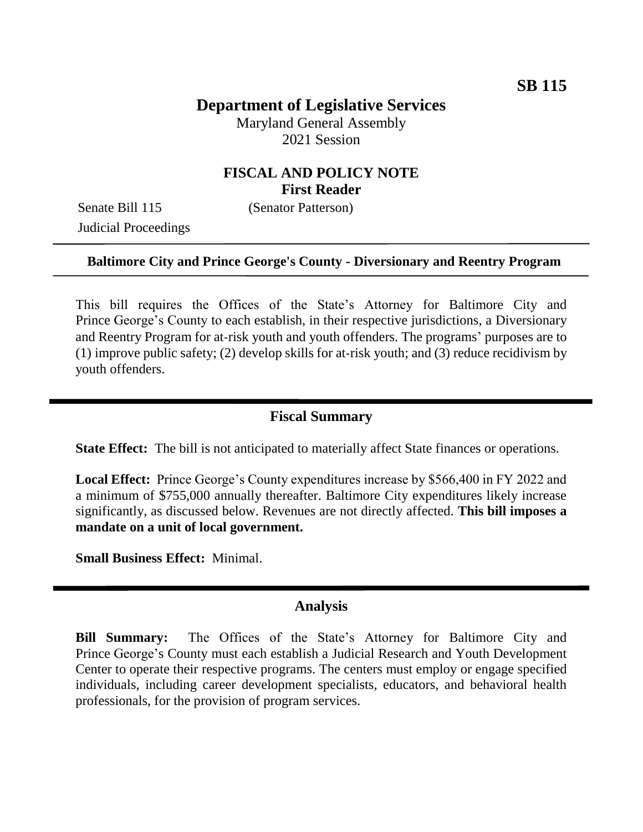# **Department of Legislative Services**

Maryland General Assembly 2021 Session

## **FISCAL AND POLICY NOTE First Reader**

Senate Bill 115 (Senator Patterson) Judicial Proceedings

### **Baltimore City and Prince George's County - Diversionary and Reentry Program**

This bill requires the Offices of the State's Attorney for Baltimore City and Prince George's County to each establish, in their respective jurisdictions, a Diversionary and Reentry Program for at-risk youth and youth offenders. The programs' purposes are to (1) improve public safety; (2) develop skills for at-risk youth; and (3) reduce recidivism by youth offenders.

### **Fiscal Summary**

**State Effect:** The bill is not anticipated to materially affect State finances or operations.

**Local Effect:** Prince George's County expenditures increase by \$566,400 in FY 2022 and a minimum of \$755,000 annually thereafter. Baltimore City expenditures likely increase significantly, as discussed below. Revenues are not directly affected. **This bill imposes a mandate on a unit of local government.**

**Small Business Effect:** Minimal.

#### **Analysis**

**Bill Summary:** The Offices of the State's Attorney for Baltimore City and Prince George's County must each establish a Judicial Research and Youth Development Center to operate their respective programs. The centers must employ or engage specified individuals, including career development specialists, educators, and behavioral health professionals, for the provision of program services.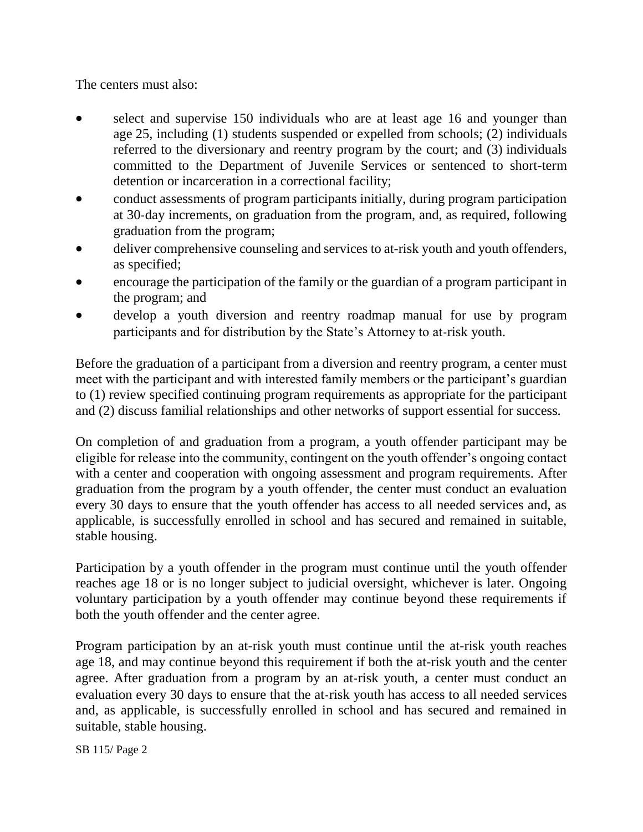The centers must also:

- select and supervise 150 individuals who are at least age 16 and younger than age 25, including (1) students suspended or expelled from schools; (2) individuals referred to the diversionary and reentry program by the court; and (3) individuals committed to the Department of Juvenile Services or sentenced to short-term detention or incarceration in a correctional facility;
- conduct assessments of program participants initially, during program participation at 30-day increments, on graduation from the program, and, as required, following graduation from the program;
- deliver comprehensive counseling and services to at-risk youth and youth offenders, as specified;
- encourage the participation of the family or the guardian of a program participant in the program; and
- develop a youth diversion and reentry roadmap manual for use by program participants and for distribution by the State's Attorney to at-risk youth.

Before the graduation of a participant from a diversion and reentry program, a center must meet with the participant and with interested family members or the participant's guardian to (1) review specified continuing program requirements as appropriate for the participant and (2) discuss familial relationships and other networks of support essential for success.

On completion of and graduation from a program, a youth offender participant may be eligible for release into the community, contingent on the youth offender's ongoing contact with a center and cooperation with ongoing assessment and program requirements. After graduation from the program by a youth offender, the center must conduct an evaluation every 30 days to ensure that the youth offender has access to all needed services and, as applicable, is successfully enrolled in school and has secured and remained in suitable, stable housing.

Participation by a youth offender in the program must continue until the youth offender reaches age 18 or is no longer subject to judicial oversight, whichever is later. Ongoing voluntary participation by a youth offender may continue beyond these requirements if both the youth offender and the center agree.

Program participation by an at-risk youth must continue until the at-risk youth reaches age 18, and may continue beyond this requirement if both the at-risk youth and the center agree. After graduation from a program by an at-risk youth, a center must conduct an evaluation every 30 days to ensure that the at-risk youth has access to all needed services and, as applicable, is successfully enrolled in school and has secured and remained in suitable, stable housing.

SB 115/ Page 2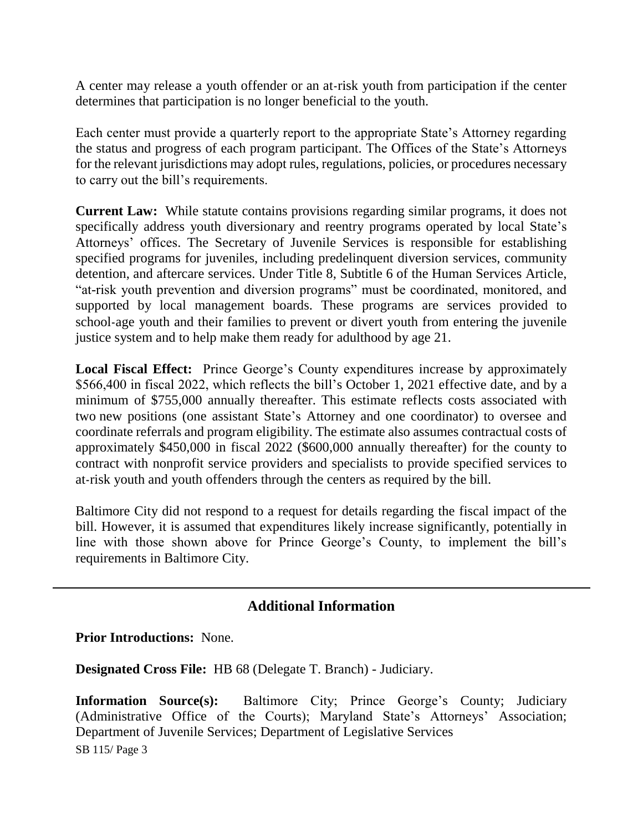A center may release a youth offender or an at-risk youth from participation if the center determines that participation is no longer beneficial to the youth.

Each center must provide a quarterly report to the appropriate State's Attorney regarding the status and progress of each program participant. The Offices of the State's Attorneys for the relevant jurisdictions may adopt rules, regulations, policies, or procedures necessary to carry out the bill's requirements.

**Current Law:** While statute contains provisions regarding similar programs, it does not specifically address youth diversionary and reentry programs operated by local State's Attorneys' offices. The Secretary of Juvenile Services is responsible for establishing specified programs for juveniles, including predelinquent diversion services, community detention, and aftercare services. Under Title 8, Subtitle 6 of the Human Services Article, "at-risk youth prevention and diversion programs" must be coordinated, monitored, and supported by local management boards. These programs are services provided to school-age youth and their families to prevent or divert youth from entering the juvenile justice system and to help make them ready for adulthood by age 21.

**Local Fiscal Effect:** Prince George's County expenditures increase by approximately \$566,400 in fiscal 2022, which reflects the bill's October 1, 2021 effective date, and by a minimum of \$755,000 annually thereafter. This estimate reflects costs associated with two new positions (one assistant State's Attorney and one coordinator) to oversee and coordinate referrals and program eligibility. The estimate also assumes contractual costs of approximately \$450,000 in fiscal 2022 (\$600,000 annually thereafter) for the county to contract with nonprofit service providers and specialists to provide specified services to at-risk youth and youth offenders through the centers as required by the bill.

Baltimore City did not respond to a request for details regarding the fiscal impact of the bill. However, it is assumed that expenditures likely increase significantly, potentially in line with those shown above for Prince George's County, to implement the bill's requirements in Baltimore City.

## **Additional Information**

**Prior Introductions:** None.

**Designated Cross File:** HB 68 (Delegate T. Branch) - Judiciary.

SB 115/ Page 3 **Information Source(s):** Baltimore City; Prince George's County; Judiciary (Administrative Office of the Courts); Maryland State's Attorneys' Association; Department of Juvenile Services; Department of Legislative Services